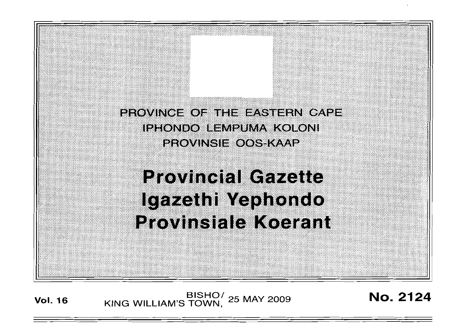PROVINCE OF THE EASTERN CAPE **IPHONDO LEMPUMA KOLONI PROVINSIE OOS-KAAP** 

# **Provincial Gazette** Igazethi Yephondo **Provinsiale Koerant**

**Vol. 16 KING WILLIAM'S TOWN,** <sup>25</sup> MAY 2009 **No. 2124**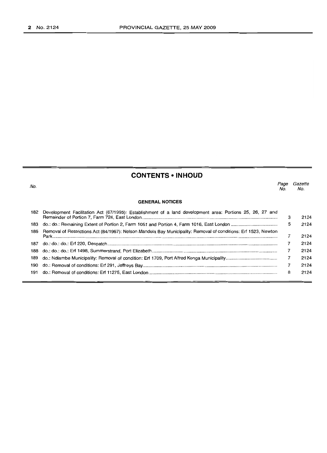## **CONTENTS • INHOUD**

| No. |                                                                                                                 | Page<br>No. | Gazette<br>No. |
|-----|-----------------------------------------------------------------------------------------------------------------|-------------|----------------|
|     | <b>GENERAL NOTICES</b>                                                                                          |             |                |
| 182 | Development Facilitation Act (67/1995): Establishment of a land development area: Portions 25, 26, 27 and       | 3           | 2124           |
| 183 |                                                                                                                 | 5           | 2124           |
| 186 | Removal of Restrictions Act (84/1967): Nelson Mandela Bay Municipality: Removal of conditions: Erf 1523, Newton |             | 2124           |
| 187 |                                                                                                                 |             | 2124           |
| 188 |                                                                                                                 |             | 2124           |
| 189 |                                                                                                                 |             | 2124           |
| 190 |                                                                                                                 |             | 2124           |
| 191 |                                                                                                                 | 8           | 2124           |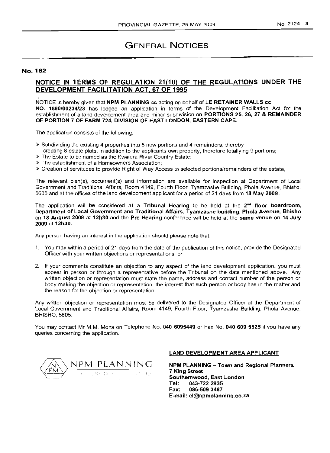# GENERAL NOTICES

## No. 182

## NOTICE IN TERMS OF REGULATION 21(10) OF THE REGULATIONS UNDER THE DEVELOPMENT FACILITATION ACT, 67 OF 1995

NOTICE is hereby given that NPM PLANNING cc acting on behalf of LE RETAINER WALLS cc NO. 1990/00234/23 has lodged an application in terms of the Development Facilitation Act for the establishment of a land development area and minor subdivision on PORTIONS 25, 26, 27 & REMAINDER OF PORTION 7 OF FARM 724, DIVISION OF EAST LONDON, EASTERN CAPE.

The application consists of the following:

- $\geq$  Subdividing the existing 4 properties into 5 new portions and 4 remainders, thereby creating 8 estate plots, in addition to the applicants own property, therefore totallying 9 portions;
- > The Estate to be named as the Kwelera River Country Estate;
- > The establishment of a Homeowners Association;
- > Creation of servitudes to provide Right of Way Access to selected portions/remainders of the estate,

The relevant plan(s), document(s) and information are available for inspection at Department of Local Government and Traditional Affairs, Room 4149, Fourth Floor, Tyamzashe Building, Phola Avenue, Bhisho, 5605 and at the offices of the land development applicant for a period of 21 days from 18 May 2009.

The application will be considered at a Tribunal Hearing to be held at the 2<sup>nd</sup> floor boardroom, Department of Local Government and Traditional Affairs, Tyamzashe building, Phola Avenue, Bhisho on 18 August 2009 at 12h30 and the Pre-Hearing conference will be held at the same venue on 14 July 2009 at 12h30.

Any person having an interest in the application should please note that:

- 1. You may within a period of 21 days from the date of the publication of this notice, provide the Designated Officer with your written objections or representations; or
- 2. If your comments constitute an objection to any aspect of the land development application, you must appear in person or through a representative before the Tribunal on the date mentioned above. Any written objection or representation must state the name, address and contact number of the person or body making the objection or representation, the interest that such person or body has in the matter and the reason for the objection or representation.

Any written objection or representation must be delivered to the Designated Officer at the Department of Local Government and Traditional Affairs, Room 4149, Fourth Floor, Tyamzashe Building, Phola Avenue, BHISHO, 5605.

You may contact Mr M.M. Mona on Telephone No. 040 6095449 or Fax No. 040 609 5525 if you have any queries concerning the application.



#### LAND DEVELOPMENT AREA APPLICANT

NPM PLANNING - Town and Regional Planners. 7 King Street Southernwood, East London Tel: 043-722 2935 Fax: 086-5093487 E-mail: el@npmplanning.co.za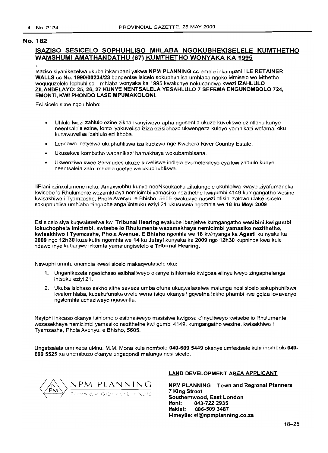## ISAZISO SESICELO SOPHlIHLlSO MHLABA NGOKlIBHEKISELELE KUMTHETHO WAMSHUMI AMATHANDATHU (67) KUMTHETHO WONYAKA KA 1995

Isaziso siyanikezelwa ukuba inkampani yakwa NPM PLANNING cc emele inkampani i LE RETAINER WALLS cc No. 1990/00234/23 bangenise isicelo sokuphuhlisa umhlaba ngoko Mmiselo wo Mthetho woququzelelo lophuhliso-mhlaba wonyaka ka 1995 kwakunye nokucandwa kwezi IZAHLULO ZILANDELAYO: 25, 26, 27 KUNYE NENTSALELA YESAHLULO 7 SEFEMA ENGUNOMBOLO 724, EMONTI, KWI PHONDO LASE MPUMAKOLONI.

Esi sicelo sime ngoluhlobo:

- Uhlulo Iwezi zahlulo ezine zikhankanyiweyo apha ngesentla ukuze kuveliswe ezintlanu kunye neentsalela ezine, lonto iyakuvelisa iziza ezisibhozo ukwengeza kuleyo yomnikazi wefama, oku kuzawuvelisa izahlulo ezilithoba.
- Lendawo icetyelwa ukuphuhliswa iza kubizwa nge Kwekera River Country Estate.
- Ukusekwa kombutho wabanikazi bamakhaya wokubambisana.
- Ukwenziwa kwee Servitudes ukuze kuveliswe indlela evumelekileyo eya kwi zahlulo kunye neentsalela zalo mhlaba ucetyelwa ukuphuhliswa.

liPlani ezinxulumene noku, Amaxwebhu kunye neeNkcukaeha zikulungele ukuhlolwa kwaye ziyafumaneka kwisebe 10 Rhulumente wezamkhaya nemicimbi yamasiko nezithethe kwigumbi 4149 kumgangatho wesine kwisakhiwo i Tyamzashe, Phola Avenyu, e Bhisho, 5605 kwakunye nasezi ofisini zalowo ufake isicelo sokuphuhlisa umhlaba zingaphelanga iintsuku eziyi 21 ukususela ngomhla we 18 ku Meyi 2009

Esi sicelo siya kuqwalaselwa kwi Tribunal Hearing eyakube ibanjelwe kumgangatho wesibini,kwigumbi lokuchophela imicimbi, kwisebe 10 Rhulumente wezamakhaya nemicimbi yamasiko nezithethe, kwisakhiwo I Tyamzashe, Phola Avenue, E Bhisho ngonhla we 18 kwinyanga ka Agasti ku nyaka ka 2009 ngo 12h30 kuze kuthi ngomhla we 14 ku Julayi kunyaka ka 2009 ngo 12h30 kuphinde kwa kule ndawo inye,kubanjwe inkomfa yamalungiselelo e Tribunal Hearing.

Nawuphi umntu onomdla kwesi sicelo makaqwalasele oku:

- 1. Unganikezela ngesiehaso esibhaliweyo okanye isihlomelo kwigosa elinyuliweyo zingaphelanga intsuku eziyi 21.
- 2. Ukuba isiehaso sakho sithe saveza umba ofuna ukuqwalaselwa malunga nesi sieelo sokuphuhliswa kwalomhlaba, kuzakufunaka uvele wena isiqu okanye i gqwetha lakho phambi kwe gqiza lovavanyo ngalomhla uchaziweyo ngasentla.

Nayiphi inkcaso okanye isihlomelo esibhaliweyo masisiwe kwigosa elinyuliweyo kwisebe 10 Rhulumente wezasekhaya nemicimbi yamasiko nezithethe kwi gumbi 4149, kumgangatho wesine, kwisakhiwo i Tyamzashe, Phola Avenyu, e Bhisho, 5605.

Ungatsalela umnxeba uMnu. M.M. Mona kule nom bolo 040·609 5449 okanye umfekisele kule inombolo 040- 609 5525 xa unemibuzo okanye ungaqondi malunga nesi sicelo.



## LAND DEVELOPMENT AREA APPLICANT

NPM PLANNING - Town and Regional Planners 7 King Street Southernwood, East London<br>Ifoni: 043-722 2935 043-722 2935 Itekisi: 086-5093487 I-imeyile: el@npmplanning.co.za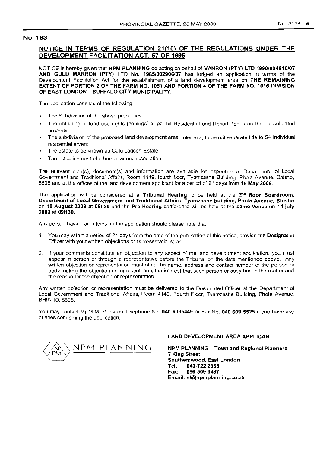## **NOTICE IN TERMS OF REGULATION 21(10) OF THE REGULATIONS UNDER THE DEVELOPMENT FACILITATION ACT, 67 OF 1995**

NOTICE is hereby given that **NPM PLANNING cc** acting on behalf of **VANRON (PTY) LTD 1990/004816/07 AND GULU MARRON (PTY) LTD No. 1985/002906/07** has lodged an application in terms of the Development Facilitation Act for the establishment of a land development area on **THE REMAINING EXTENT OF PORTION 2 OF THE FARM NO. 1051 AND PORTION 4 OF THE FARM NO. 1016 DIVISION OF EAST LONDON - BUFFALO CITY MUNICIPALITY.**

The application consists of the following:

- The Subdivision of the above properties;
- The obtaining of land use rights (zonings) to permit Residential and Resort Zones on the consolidated property;
- The subdivision of the proposed land development area, inter alia, to permit separate title to 54 individual residential erven;
- The estate to be known as Gulu Lagoon Estate;
- The establishment of a homeowners association.

The relevant plan(s), document(s} and information are available for inspection at Department of Local Government and Traditional Affairs, Room 4149, fourth floor, Tyamzashe Building, Phola Avenue, Bhisho, 5605 and at the offices of the land development applicant for a period of 21 days from **18 May 2009.**

The application will be considered at a **Tribunal Hearing** to be held at the 2<sup>nd</sup> floor Boardroom, **Department of Local Government and Traditional Affairs, Tyamzashe building, Phola Avenue, Bhisho** on **18 August 2009 at 09h30** and the **Pre-Hearing** conference will be held at the **same venue on 14 july 2009 at 09H30.**

Any person having an interest in the application should please note that:

- 1. You may within a period of 21 days from the date of the publication of this notice, provide the Designated Officer with your written objections or representations; or
- 2. If your comments constitute an objection to any aspect of the land development application, you must appear in person or through a representative before the Tribunal on the date mentioned above. Any written objection or representation must state the name, address and contact number of the person or body making the objection or representation, the interest that such person or body has in the matter and the reason for the objection or representation.

Any written objection or representation must be delivered to the Designated Officer at the Department of Local Government and Traditional Affairs, Room 4149, Fourth Floor, Tyamzashe Building, Phola Avenue, BHISHO, 5605.

You may contact Mr M.M. Mona on Telephone No. **0406095449** or Fax No. **040609 5525** if you have any queries concerning the application.



## **LAND DEVELOPMENT AREA APPLICANT**

!M\NPM. PLANNING **NPM PLANNING - Town and Regional Planners 7 King Street Southernwood, East London Tel: 043-7222935 Fax: 086-509 3487 E-mail: el@npmplanning.co.za**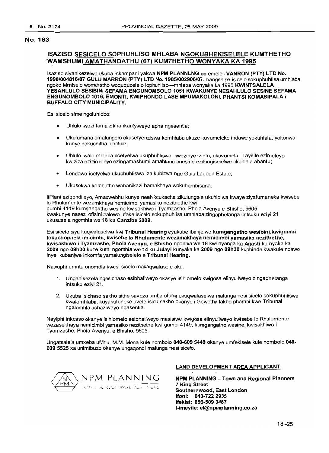## IS~ISO SESICELO SOPHUHLlSO MHLABA NGOKUBHEKISELELE KUMTHETHO "WAMSHUMI AMATHANDATHU (67) KUMTHETHO WONYAKA KA 1995

Isaziso siyanikezelwa ukuba inkampani yakwa NPM PLANNLNG cc emele i VANRON (PTY) LTD No. 1990/004816/07 GULU MARRON (PTY) LTD No. 1985/002906/07. bangenise isicelo sokuphuhlisa umhlaba ngoko Mmiselo womthetho woququzelelo lophuhliso-mhlaba wonyaka ka 1995 KWINTSALELA YESAHLULO SESIBINI SEFAMA ENGUNOMBOLO 1051 KWAKUNYE NESAHLLlLO SESINE SEFAMA ENGUNOMBOLO 1016, EMONTI, KWIPHONDO LASE MPUMAKOLONI, PHANTSI KOMASIPALA i BUFFALO CITY MUNICIPALITY.

Esi sicelo sime ngoluhlobo:

- Uhlulo lwezi fama zikhankantyiweyo apha ngesentla;
- Ukufumana amalungelo okusetyenziswa komhlaba ukuze kuvumeleke indawo yokuhlala, yokonwa kunye nokuchitha ii holide;
- Uhlulo Iwalo rrihlaba ocetyelwa ukuphuhliswa, kwezinye izinto, ukuvumela i Tayitile ezimeleyo kwiziza ezizimeleyo ezingamashumi amahlanu anesine ezilungiselelwe ukuhlala abantu;
- Lendawo icetyelwa ukuphuhliswa iza kubizwa nge Gulu Lagoon Estate;
- Ukusekwa kombutho wabanikazi bamakhaya wokubambisana.

liPlani eziqondileyo, Amaxwebhu kunye neeNkcukacha zikulungele ukuhlolwa kwaye ziyafumaneka kwisebe 10 Rhulumente wezamkhaya nemicimbi yamasiko nezithethe kwi gumbi 4149 kumgangatho wesine kwisakhiwo i Tyamzashe, Phola Avenyu e Bhisho, 5605 kwakunye nasezi ofisini zalowo ufake isicelo sokuphuhlisa umhlaba zinqaphelanqa iintsuku eziyi 21 ukususela ngomhla we 18 ku Canzibe 2009.

Esi sicelo siya kuqwalaselwa kwi Tribunal Hearing eyakube ibanjelwe kumgangatho wesibini,kwigumbi lokuchophela imicimbi, kwisebe 10 Rhulumente wezamakhaya nemicimbi yamasiko nezithethe, kwisakhiwo i Tyamzashe, Phola Avenyu, e Bhisho ngonhla we 18 kwi nyanga ka Agasti ku nyaka ka 2009 ngo 09h30 kuze kuthi ngomhla we 14 ku Julayi kunyaka ka 2009 ngo 09h30 kuphinde kwakule ndawo inye, kubanjwe inkomfa yamalungiselelo e Tribunal Hearing.

Nawuphi umntu onomdla kwesi sicelo makaqwalasele oku:

- 1. Unganikezela ngesichaso esibhaliweyo okanye isihlomelo kwigosa elinyuliweyo zingaphelanga intsuku eziyi 21.
- 2. Ukuba isichaso sakho sithe saveza umba ofuna ukuqwalaselwa malunga nesi sicelo sokuphuhliswa kwalomhlaba, kuyakufuneke uvele isiqu sakho okanye i Gqwetha lakho phambi kwe Tribunal ngalomhla uchaziweyo ngasentla.

Nayiphi inkcaso okanye isihlomelo esibhaliweyo masisiwe kwigosa elinyuliweyo kwisebe 10 Rhulumente wezasekhaya nemicimbi yamasiko nezithethe kwi gumbi 4149, kumgangatho wesine, kwisakhiwo i Tyamzashe, Phola Avenyu, e Bhisho, 5605.

Ungatsalela umxeba uMnu. M.M. Mona kule nombolo 040-6095449 okanye umfekisele kule nombolo 040- 609 5525 xa unimibuzo okanye ungaqondi malunga nesi sicelo.



## LAND DEVELOPMENT AREA APPLICANT

NPM PLANNING - Town and Regional Planners 7 King Street Southernwood, East London Ifoni: 043-722 2935 Ifekisi: 086-509 3487 I-imeyile: el@npmplanning.co.za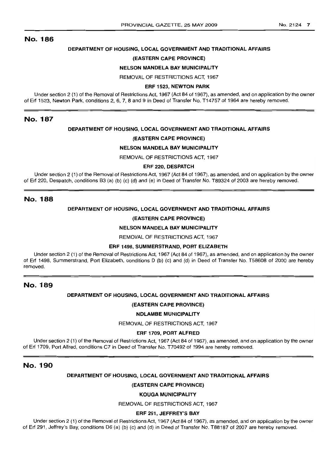## **DEPARTMENT OF HOUSING, LOCAL GOVERNMENT AND TRADITIONAL AFFAIRS**

#### **(EASTERN CAPE PROVINCE)**

#### **NELSON MANDELA BAY MUNICIPALITY**

REMOVAL OF RESTRICTIONS ACT, 1967

#### **ERF** 1523, **NEWTON PARK**

Under section 2 (1) of the Removal of Restrictions Act, 1967 (Act 84 of 1967), as amended, and on application by the owner of Erf 1523, Newton Park, conditions 2, 6, 7, 8 and 9 in Deed of Transfer No. T14757 of 1964 are hereby removed.

## No. 187

### **DEPARTMENT OF HOUSING, LOCAL GOVERNMENT AND TRADITIONAL AFFAIRS**

## **(EASTERN CAPE PROVINCE)**

## **NELSON MANDELA BAY MUNICIPALITY**

REMOVAL OF RESTRICTIONS ACT, 1967

#### **ERF** 220, **DESPATCH**

Under section 2 (1) of the Removal of Restrictions Act, 1967 (Act 84 of 1967), as amended, and on application by the owner of Erf 220, Despatch, conditions B3 (a) (b) (c) (d) and (e) in Deed of Transfer No. T89324 of 2003 are hereby removed.

## No. 188

## **DEPARTMENT OF HOUSING, LOCAL GOVERNMENT AND TRADITIONAL AFFAIRS**

#### **(EASTERN CAPE PROVINCE)**

#### **NELSON MANDELA BAY MUNICIPALITY**

REMOVAL OF RESTRICTIONS ACT, 1967

#### **ERF** 1498, **SUMMERSTRAND, PORT ELIZABETH**

Under section 2 (1) of the Removal of Restrictions Act, 1967 (Act 84 of 1967), as amended, and on application by the owner of Erf 1498, Summerstrand, Port Elizabeth, conditions D (b) (c) and (d) in Deed of Transfer No. T58608 of 2000 are hereby removed.

## No. 189

## **DEPARTMENT OF HOUSING, LOCAL GOVERNMENT AND TRADITIONAL AFFAIRS**

### **(EASTERN CAPE PROVINCE)**

## **NDLAMBE MUNICIPALITY**

REMOVAL OF RESTRICTIONS ACT, 1967

## **ERF** 1709, **PORT ALFRED**

Under section 2 (1) of the Removal of Restrictions Act, 1967 (Act 84 of 1967), as amended, and on application by the owner of Erf 1709, Port Alfred, conditions C7 in Deed of Transfer No. T70492 of 1994 are hereby removed.

## No. 190

## **DEPARTMENT OF HOUSING, LOCAL GOVERNMENT AND TRADITIONAL AFFAIRS**

#### **(EASTERN CAPE PROVINCE)**

## **KOUGA MUNICIPALITY**

REMOVAL OF RESTRICTIONS ACT, 1967

## **ERF** 291, **JEFFREY'S BAY**

Under section 2 (1) of the Removal of Restrictions Act, 1967 (Act 84 of 1967), as amended. and on application by the owner of Erf 291, Jeffrey's Bay, conditions D6 (a) (b) (c) and (d) in Deed of Transfer No. T88187 of 2007 are hereby removed.